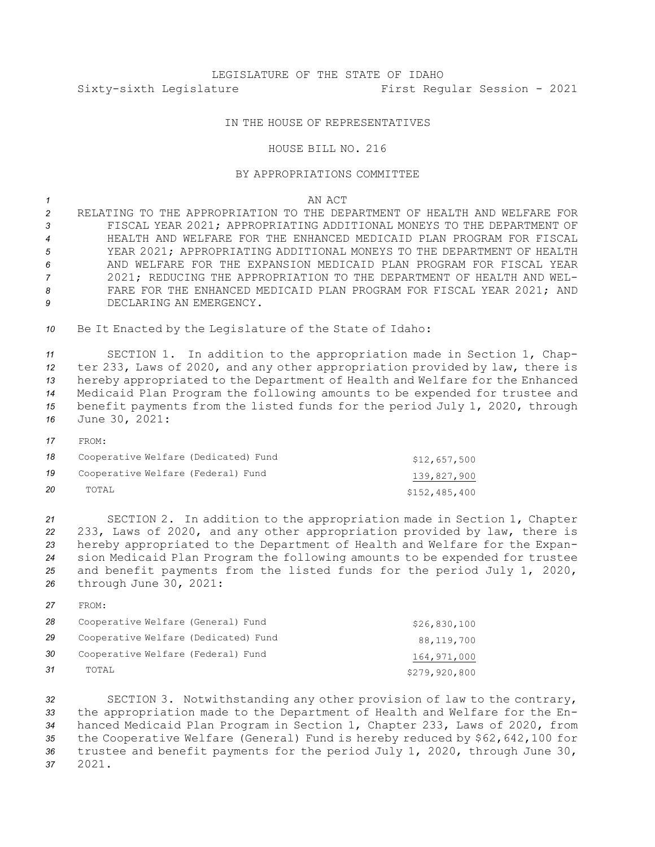## LEGISLATURE OF THE STATE OF IDAHO Sixty-sixth Legislature First Regular Session - 2021

## IN THE HOUSE OF REPRESENTATIVES

## HOUSE BILL NO. 216

## BY APPROPRIATIONS COMMITTEE

*1* AN ACT

 RELATING TO THE APPROPRIATION TO THE DEPARTMENT OF HEALTH AND WELFARE FOR FISCAL YEAR 2021; APPROPRIATING ADDITIONAL MONEYS TO THE DEPARTMENT OF HEALTH AND WELFARE FOR THE ENHANCED MEDICAID PLAN PROGRAM FOR FISCAL YEAR 2021; APPROPRIATING ADDITIONAL MONEYS TO THE DEPARTMENT OF HEALTH AND WELFARE FOR THE EXPANSION MEDICAID PLAN PROGRAM FOR FISCAL YEAR 2021; REDUCING THE APPROPRIATION TO THE DEPARTMENT OF HEALTH AND WEL- FARE FOR THE ENHANCED MEDICAID PLAN PROGRAM FOR FISCAL YEAR 2021; AND DECLARING AN EMERGENCY.

*<sup>10</sup>* Be It Enacted by the Legislature of the State of Idaho:

 SECTION 1. In addition to the appropriation made in Section 1, Chap- ter 233, Laws of 2020, and any other appropriation provided by law, there is hereby appropriated to the Department of Health and Welfare for the Enhanced Medicaid Plan Program the following amounts to be expended for trustee and benefit payments from the listed funds for the period July 1, 2020, through June 30, 2021:

*17* FROM:

| 18 | Cooperative Welfare (Dedicated) Fund | \$12,657,500  |
|----|--------------------------------------|---------------|
| 19 | Cooperative Welfare (Federal) Fund   | 139,827,900   |
| 20 | TOTAL                                | \$152,485,400 |

 SECTION 2. In addition to the appropriation made in Section 1, Chapter 233, Laws of 2020, and any other appropriation provided by law, there is hereby appropriated to the Department of Health and Welfare for the Expan- sion Medicaid Plan Program the following amounts to be expended for trustee and benefit payments from the listed funds for the period July 1, 2020, through June 30, 2021:

*27* FROM:

| 28 | Cooperative Welfare (General) Fund   | \$26,830,100  |
|----|--------------------------------------|---------------|
| 29 | Cooperative Welfare (Dedicated) Fund | 88,119,700    |
| 30 | Cooperative Welfare (Federal) Fund   | 164,971,000   |
| 31 | TOTAL                                | \$279,920,800 |

 SECTION 3. Notwithstanding any other provision of law to the contrary, the appropriation made to the Department of Health and Welfare for the En- hanced Medicaid Plan Program in Section 1, Chapter 233, Laws of 2020, from the Cooperative Welfare (General) Fund is hereby reduced by \$62,642,100 for trustee and benefit payments for the period July 1, 2020, through June 30, *37* 2021.